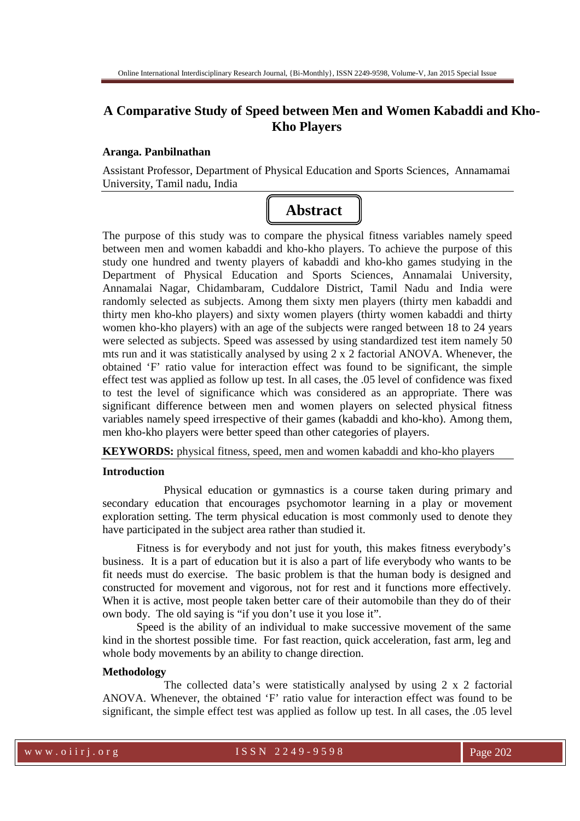# **A Comparative Study of Speed between Men and Women Kabaddi and Kho-Kho Players**

#### **Aranga. Panbilnathan**

Assistant Professor, Department of Physical Education and Sports Sciences, Annamamai University, Tamil nadu, India



The purpose of this study was to compare the physical fitness variables namely speed between men and women kabaddi and kho-kho players. To achieve the purpose of this study one hundred and twenty players of kabaddi and kho-kho games studying in the Department of Physical Education and Sports Sciences, Annamalai University, Annamalai Nagar, Chidambaram, Cuddalore District, Tamil Nadu and India were randomly selected as subjects. Among them sixty men players (thirty men kabaddi and thirty men kho-kho players) and sixty women players (thirty women kabaddi and thirty women kho-kho players) with an age of the subjects were ranged between 18 to 24 years were selected as subjects. Speed was assessed by using standardized test item namely 50 mts run and it was statistically analysed by using 2 x 2 factorial ANOVA. Whenever, the obtained 'F' ratio value for interaction effect was found to be significant, the simple effect test was applied as follow up test. In all cases, the .05 level of confidence was fixed to test the level of significance which was considered as an appropriate. There was significant difference between men and women players on selected physical fitness variables namely speed irrespective of their games (kabaddi and kho-kho). Among them, men kho-kho players were better speed than other categories of players.

**KEYWORDS:** physical fitness, speed, men and women kabaddi and kho-kho players

#### **Introduction**

Physical education or gymnastics is a course taken during primary and secondary education that encourages psychomotor learning in a play or movement exploration setting. The term physical education is most commonly used to denote they have participated in the subject area rather than studied it.

Fitness is for everybody and not just for youth, this makes fitness everybody's business. It is a part of education but it is also a part of life everybody who wants to be fit needs must do exercise. The basic problem is that the human body is designed and constructed for movement and vigorous, not for rest and it functions more effectively. When it is active, most people taken better care of their automobile than they do of their own body. The old saying is "if you don't use it you lose it".

Speed is the ability of an individual to make successive movement of the same kind in the shortest possible time. For fast reaction, quick acceleration, fast arm, leg and whole body movements by an ability to change direction.

#### **Methodology**

The collected data's were statistically analysed by using 2 x 2 factorial ANOVA. Whenever, the obtained 'F' ratio value for interaction effect was found to be significant, the simple effect test was applied as follow up test. In all cases, the .05 level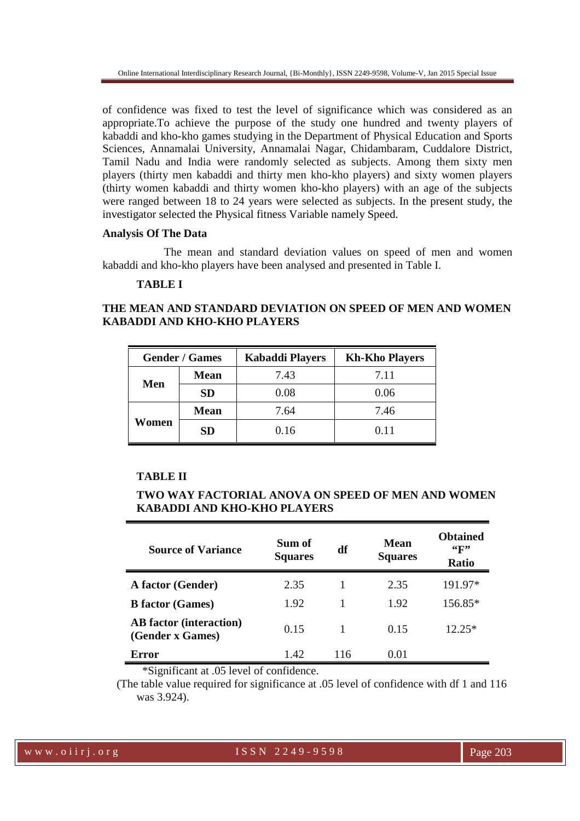of confidence was fixed to test the level of significance which was considered as an appropriate.To achieve the purpose of the study one hundred and twenty players of kabaddi and kho-kho games studying in the Department of Physical Education and Sports Sciences, Annamalai University, Annamalai Nagar, Chidambaram, Cuddalore District, Tamil Nadu and India were randomly selected as subjects. Among them sixty men players (thirty men kabaddi and thirty men kho-kho players) and sixty women players (thirty women kabaddi and thirty women kho-kho players) with an age of the subjects were ranged between 18 to 24 years were selected as subjects. In the present study, the investigator selected the Physical fitness Variable namely Speed.

### **Analysis Of The Data**

The mean and standard deviation values on speed of men and women kabaddi and kho-kho players have been analysed and presented in Table I.

### **TABLE I**

## **THE MEAN AND STANDARD DEVIATION ON SPEED OF MEN AND WOMEN KABADDI AND KHO-KHO PLAYERS**

| <b>Gender / Games</b> |             | <b>Kabaddi Players</b> | <b>Kh-Kho Players</b> |  |
|-----------------------|-------------|------------------------|-----------------------|--|
| Men                   | <b>Mean</b> | 7.43                   | 7.11                  |  |
|                       | <b>SD</b>   | 0.08                   | 0.06                  |  |
| Women                 | <b>Mean</b> | 7.64                   | 7.46                  |  |
|                       | <b>SD</b>   | 0.16                   | 0.11                  |  |

## **TABLE II**

## **TWO WAY FACTORIAL ANOVA ON SPEED OF MEN AND WOMEN KABADDI AND KHO-KHO PLAYERS**

| <b>Source of Variance</b>                          | Sum of<br><b>Squares</b> | df  | <b>Mean</b><br><b>Squares</b> | <b>Obtained</b><br>$\mathbf{G}$<br><b>Ratio</b> |
|----------------------------------------------------|--------------------------|-----|-------------------------------|-------------------------------------------------|
| A factor (Gender)                                  | 2.35                     |     | 2.35                          | 191.97*                                         |
| <b>B</b> factor (Games)                            | 1.92                     | 1   | 1.92                          | 156.85*                                         |
| <b>AB</b> factor (interaction)<br>(Gender x Games) | 0.15                     |     | 0.15                          | $12.25*$                                        |
| Error                                              | 1.42                     | 116 | 0.01                          |                                                 |

\*Significant at .05 level of confidence.

 (The table value required for significance at .05 level of confidence with df 1 and 116 was 3.924).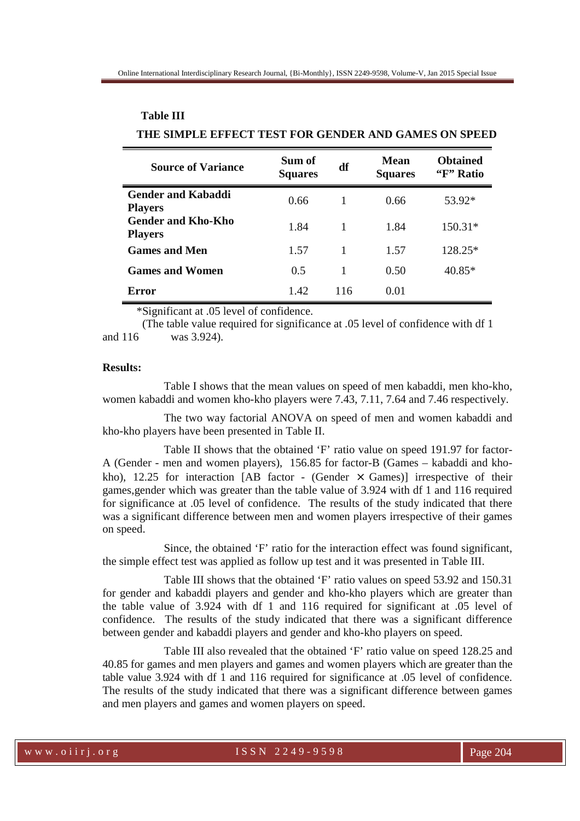| <b>Source of Variance</b>                   | Sum of<br><b>Squares</b> | df  | <b>Mean</b><br><b>Squares</b> | <b>Obtained</b><br>"F" Ratio |
|---------------------------------------------|--------------------------|-----|-------------------------------|------------------------------|
| <b>Gender and Kabaddi</b><br><b>Players</b> | 0.66                     |     | 0.66                          | 53.92*                       |
| <b>Gender and Kho-Kho</b><br><b>Players</b> | 1.84                     |     | 1.84                          | $150.31*$                    |
| <b>Games and Men</b>                        | 1.57                     | 1   | 1.57                          | $128.25*$                    |
| <b>Games and Women</b>                      | 0.5                      |     | 0.50                          | $40.85*$                     |
| Error                                       | 1.42                     | 116 | 0.01                          |                              |

# **Table III THE SIMPLE EFFECT TEST FOR GENDER AND GAMES ON SPEED**

\*Significant at .05 level of confidence.

 (The table value required for significance at .05 level of confidence with df 1 and 116 was 3.924).

### **Results:**

Table I shows that the mean values on speed of men kabaddi, men kho-kho, women kabaddi and women kho-kho players were 7.43, 7.11, 7.64 and 7.46 respectively.

The two way factorial ANOVA on speed of men and women kabaddi and kho-kho players have been presented in Table II.

Table II shows that the obtained 'F' ratio value on speed 191.97 for factor-A (Gender - men and women players), 156.85 for factor-B (Games – kabaddi and khokho), 12.25 for interaction  $[AB \text{ factor} - (Gender \times Games)]$  irrespective of their games,gender which was greater than the table value of 3.924 with df 1 and 116 required for significance at .05 level of confidence. The results of the study indicated that there was a significant difference between men and women players irrespective of their games on speed.

Since, the obtained 'F' ratio for the interaction effect was found significant, the simple effect test was applied as follow up test and it was presented in Table III.

Table III shows that the obtained 'F' ratio values on speed 53.92 and 150.31 for gender and kabaddi players and gender and kho-kho players which are greater than the table value of 3.924 with df 1 and 116 required for significant at .05 level of confidence. The results of the study indicated that there was a significant difference between gender and kabaddi players and gender and kho-kho players on speed.

Table III also revealed that the obtained 'F' ratio value on speed 128.25 and 40.85 for games and men players and games and women players which are greater than the table value 3.924 with df 1 and 116 required for significance at .05 level of confidence. The results of the study indicated that there was a significant difference between games and men players and games and women players on speed.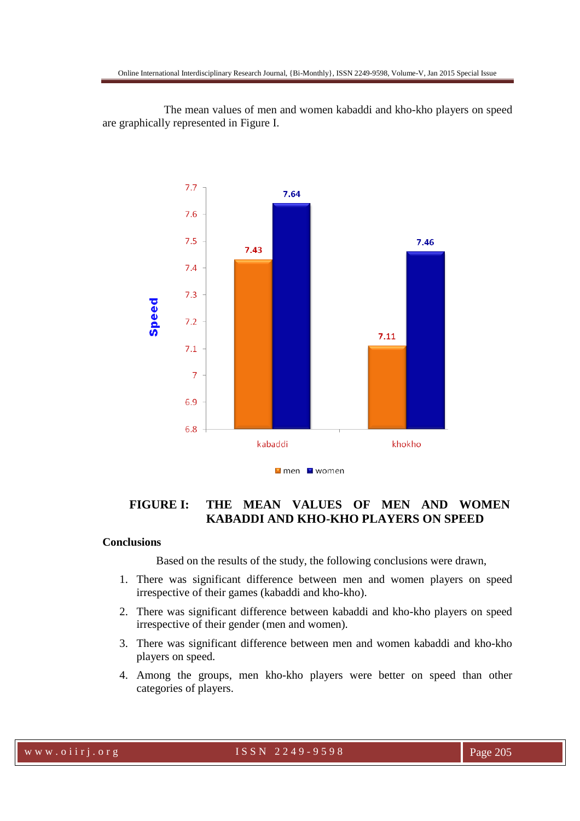The mean values of men and women kabaddi and kho-kho players on speed are graphically represented in Figure I.



# **FIGURE I: THE MEAN VALUES OF MEN AND WOMEN KABADDI AND KHO-KHO PLAYERS ON SPEED**

#### **Conclusions**

Based on the results of the study, the following conclusions were drawn,

- 1. There was significant difference between men and women players on speed irrespective of their games (kabaddi and kho-kho).
- 2. There was significant difference between kabaddi and kho-kho players on speed irrespective of their gender (men and women).
- 3. There was significant difference between men and women kabaddi and kho-kho players on speed.
- 4. Among the groups, men kho-kho players were better on speed than other categories of players.